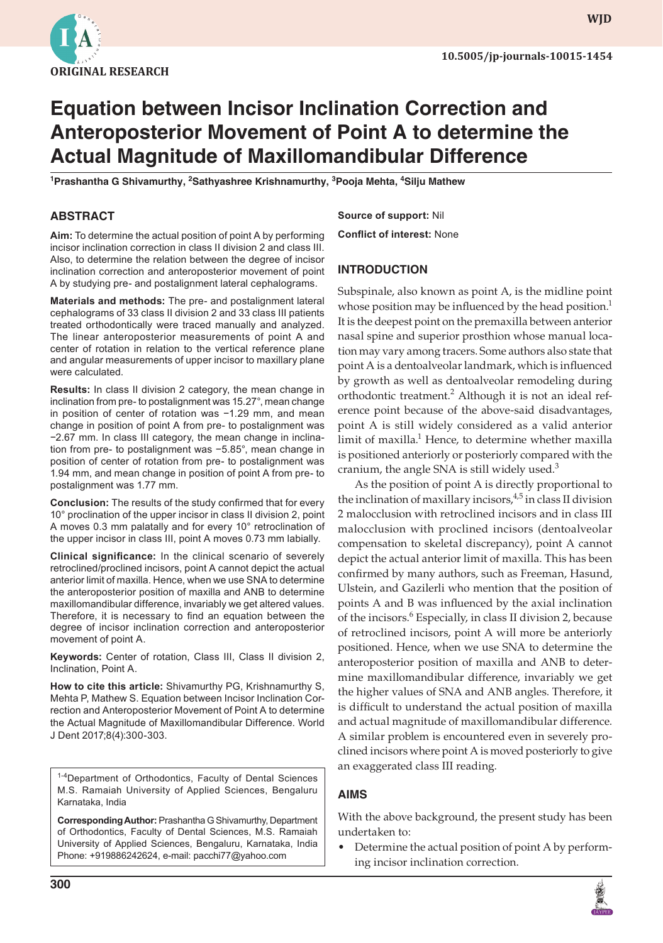

**wjd**

# **Equation between Incisor Inclination Correction and Anteroposterior Movement of Point A to determine the Actual Magnitude of Maxillomandibular Difference**

<sup>1</sup>Prashantha G Shivamurthy, <sup>2</sup>Sathyashree Krishnamurthy, <sup>3</sup>Pooja Mehta, <sup>4</sup>Silju Mathew

# **ABSTRACT**

**Aim:** To determine the actual position of point A by performing incisor inclination correction in class II division 2 and class III. Also, to determine the relation between the degree of incisor inclination correction and anteroposterior movement of point A by studying pre- and postalignment lateral cephalograms.

**Materials and methods:** The pre- and postalignment lateral cephalograms of 33 class II division 2 and 33 class III patients treated orthodontically were traced manually and analyzed. The linear anteroposterior measurements of point A and center of rotation in relation to the vertical reference plane and angular measurements of upper incisor to maxillary plane were calculated.

**Results:** In class II division 2 category, the mean change in inclination from pre- to postalignment was 15.27°, mean change in position of center of rotation was −1.29 mm, and mean change in position of point A from pre- to postalignment was −2.67 mm. In class III category, the mean change in inclination from pre- to postalignment was −5.85°, mean change in position of center of rotation from pre- to postalignment was 1.94 mm, and mean change in position of point A from pre- to postalignment was 1.77 mm.

**Conclusion:** The results of the study confirmed that for every 10° proclination of the upper incisor in class II division 2, point A moves 0.3 mm palatally and for every 10° retroclination of the upper incisor in class III, point A moves 0.73 mm labially.

**Clinical significance:** In the clinical scenario of severely retroclined/proclined incisors, point A cannot depict the actual anterior limit of maxilla. Hence, when we use SNA to determine the anteroposterior position of maxilla and ANB to determine maxillomandibular difference, invariably we get altered values. Therefore, it is necessary to find an equation between the degree of incisor inclination correction and anteroposterior movement of point A.

**Keywords:** Center of rotation, Class III, Class II division 2, Inclination, Point A.

**How to cite this article:** Shivamurthy PG, Krishnamurthy S, Mehta P, Mathew S. Equation between Incisor Inclination Correction and Anteroposterior Movement of Point A to determine the Actual Magnitude of Maxillomandibular Difference. World J Dent 2017;8(4):300-303.

<sup>1-4</sup>Department of Orthodontics, Faculty of Dental Sciences M.S. Ramaiah University of Applied Sciences, Bengaluru Karnataka, India

**Corresponding Author:** Prashantha G Shivamurthy, Department of Orthodontics, Faculty of Dental Sciences, M.S. Ramaiah University of Applied Sciences, Bengaluru, Karnataka, India Phone: +919886242624, e-mail: pacchi77@yahoo.com

**Source of support:** Nil **Conflict of interest:** None

## **INTRODUCTION**

Subspinale, also known as point A, is the midline point whose position may be influenced by the head position.<sup>1</sup> It is the deepest point on the premaxilla between anterior nasal spine and superior prosthion whose manual location may vary among tracers. Some authors also state that point A is a dentoalveolar landmark, which is influenced by growth as well as dentoalveolar remodeling during orthodontic treatment.<sup>2</sup> Although it is not an ideal reference point because of the above-said disadvantages, point A is still widely considered as a valid anterior limit of maxilla.<sup>1</sup> Hence, to determine whether maxilla is positioned anteriorly or posteriorly compared with the cranium, the angle SNA is still widely used.<sup>3</sup>

As the position of point A is directly proportional to the inclination of maxillary incisors, $4.5$  in class II division 2 malocclusion with retroclined incisors and in class III malocclusion with proclined incisors (dentoalveolar compensation to skeletal discrepancy), point A cannot depict the actual anterior limit of maxilla. This has been confirmed by many authors, such as Freeman, Hasund, Ulstein, and Gazilerli who mention that the position of points A and B was influenced by the axial inclination of the incisors.<sup>6</sup> Especially, in class II division 2, because of retroclined incisors, point A will more be anteriorly positioned. Hence, when we use SNA to determine the anteroposterior position of maxilla and ANB to determine maxillomandibular difference, invariably we get the higher values of SNA and ANB angles. Therefore, it is difficult to understand the actual position of maxilla and actual magnitude of maxillomandibular difference. A similar problem is encountered even in severely proclined incisors where point A is moved posteriorly to give an exaggerated class III reading.

# **AimS**

With the above background, the present study has been undertaken to:

• Determine the actual position of point A by performing incisor inclination correction.

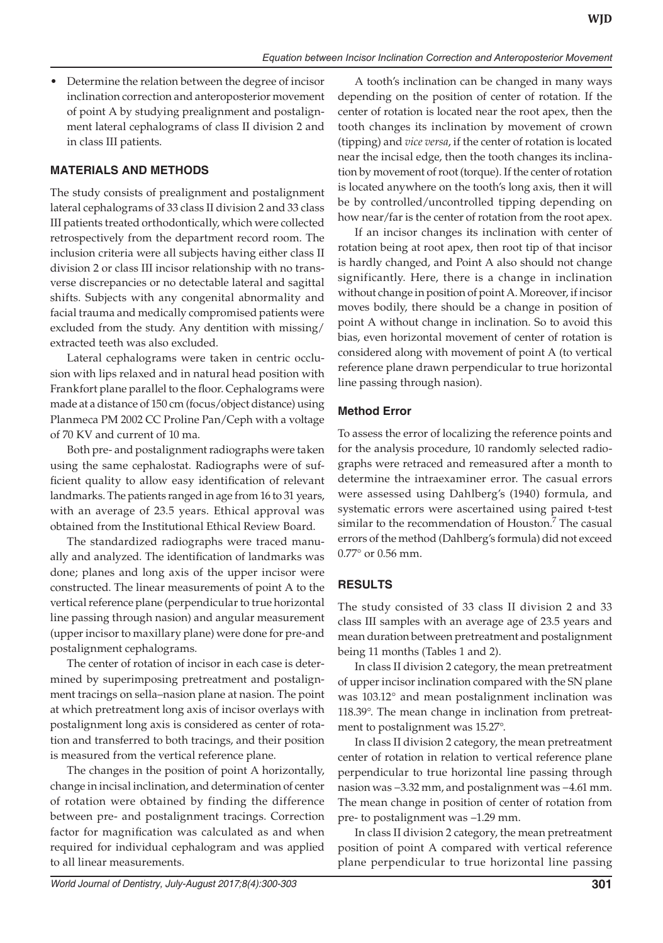Determine the relation between the degree of incisor inclination correction and anteroposterior movement of point A by studying prealignment and postalignment lateral cephalograms of class II division 2 and in class III patients.

# **MATERIALS AND METHODS**

The study consists of prealignment and postalignment lateral cephalograms of 33 class II division 2 and 33 class III patients treated orthodontically, which were collected retrospectively from the department record room. The inclusion criteria were all subjects having either class II division 2 or class III incisor relationship with no transverse discrepancies or no detectable lateral and sagittal shifts. Subjects with any congenital abnormality and facial trauma and medically compromised patients were excluded from the study. Any dentition with missing/ extracted teeth was also excluded.

Lateral cephalograms were taken in centric occlusion with lips relaxed and in natural head position with Frankfort plane parallel to the floor. Cephalograms were made at a distance of 150 cm (focus/object distance) using Planmeca PM 2002 CC Proline Pan/Ceph with a voltage of 70 KV and current of 10 ma.

Both pre- and postalignment radiographs were taken using the same cephalostat. Radiographs were of sufficient quality to allow easy identification of relevant landmarks. The patients ranged in age from 16 to 31 years, with an average of 23.5 years. Ethical approval was obtained from the Institutional Ethical Review Board.

The standardized radiographs were traced manually and analyzed. The identification of landmarks was done; planes and long axis of the upper incisor were constructed. The linear measurements of point A to the vertical reference plane (perpendicular to true horizontal line passing through nasion) and angular measurement (upper incisor to maxillary plane) were done for pre-and postalignment cephalograms.

The center of rotation of incisor in each case is determined by superimposing pretreatment and postalignment tracings on sella–nasion plane at nasion. The point at which pretreatment long axis of incisor overlays with postalignment long axis is considered as center of rotation and transferred to both tracings, and their position is measured from the vertical reference plane.

The changes in the position of point A horizontally, change in incisal inclination, and determination of center of rotation were obtained by finding the difference between pre- and postalignment tracings. Correction factor for magnification was calculated as and when required for individual cephalogram and was applied to all linear measurements.

A tooth's inclination can be changed in many ways depending on the position of center of rotation. If the center of rotation is located near the root apex, then the tooth changes its inclination by movement of crown (tipping) and *vice versa*, if the center of rotation is located near the incisal edge, then the tooth changes its inclination by movement of root (torque). If the center of rotation is located anywhere on the tooth's long axis, then it will be by controlled/uncontrolled tipping depending on how near/far is the center of rotation from the root apex.

If an incisor changes its inclination with center of rotation being at root apex, then root tip of that incisor is hardly changed, and Point A also should not change significantly. Here, there is a change in inclination without change in position of point A. Moreover, if incisor moves bodily, there should be a change in position of point A without change in inclination. So to avoid this bias, even horizontal movement of center of rotation is considered along with movement of point A (to vertical reference plane drawn perpendicular to true horizontal line passing through nasion).

# **Method Error**

To assess the error of localizing the reference points and for the analysis procedure, 10 randomly selected radiographs were retraced and remeasured after a month to determine the intraexaminer error. The casual errors were assessed using Dahlberg's (1940) formula, and systematic errors were ascertained using paired t-test similar to the recommendation of Houston.<sup>7</sup> The casual errors of the method (Dahlberg's formula) did not exceed 0.77° or 0.56 mm.

# **RESULTS**

The study consisted of 33 class II division 2 and 33 class III samples with an average age of 23.5 years and mean duration between pretreatment and postalignment being 11 months (Tables 1 and 2).

In class II division 2 category, the mean pretreatment of upper incisor inclination compared with the SN plane was 103.12° and mean postalignment inclination was 118.39°. The mean change in inclination from pretreatment to postalignment was 15.27°.

In class II division 2 category, the mean pretreatment center of rotation in relation to vertical reference plane perpendicular to true horizontal line passing through nasion was −3.32 mm, and postalignment was −4.61 mm. The mean change in position of center of rotation from pre- to postalignment was −1.29 mm.

In class II division 2 category, the mean pretreatment position of point A compared with vertical reference plane perpendicular to true horizontal line passing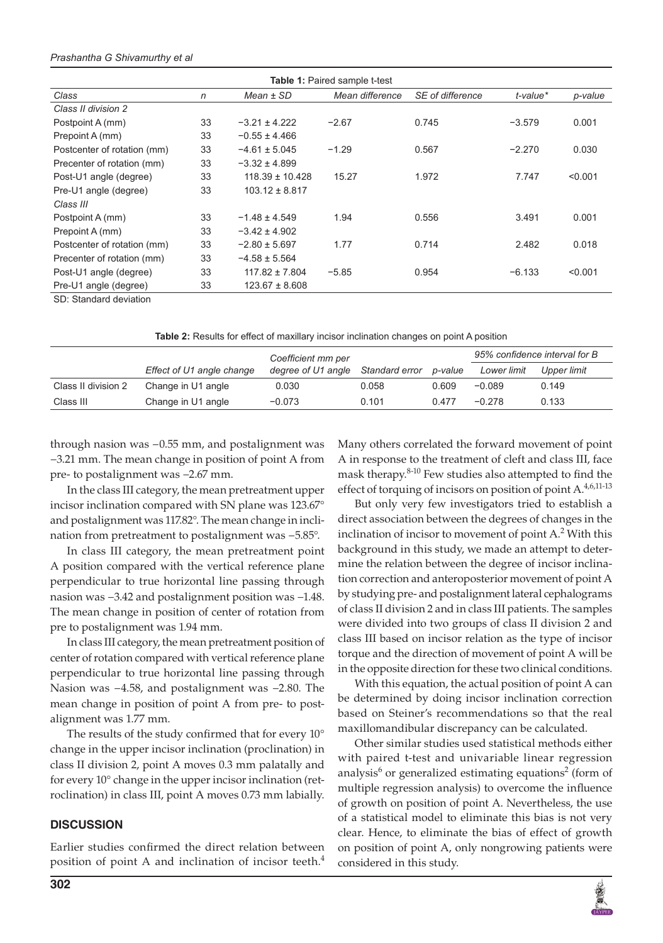#### *Prashantha G Shivamurthy et al*

| <b>Table 1:</b> Paired sample t-test |              |                     |                 |                  |                |         |  |  |  |
|--------------------------------------|--------------|---------------------|-----------------|------------------|----------------|---------|--|--|--|
| Class                                | $\mathsf{n}$ | $Mean \pm SD$       | Mean difference | SE of difference | $t$ -value $*$ | p-value |  |  |  |
| Class II division 2                  |              |                     |                 |                  |                |         |  |  |  |
| Postpoint A (mm)                     | 33           | $-3.21 \pm 4.222$   | $-2.67$         | 0.745            | $-3.579$       | 0.001   |  |  |  |
| Prepoint A (mm)                      | 33           | $-0.55 \pm 4.466$   |                 |                  |                |         |  |  |  |
| Postcenter of rotation (mm)          | 33           | $-4.61 \pm 5.045$   | $-1.29$         | 0.567            | $-2.270$       | 0.030   |  |  |  |
| Precenter of rotation (mm)           | 33           | $-3.32 \pm 4.899$   |                 |                  |                |         |  |  |  |
| Post-U1 angle (degree)               | 33           | $118.39 \pm 10.428$ | 15.27           | 1.972            | 7.747          | < 0.001 |  |  |  |
| Pre-U1 angle (degree)                | 33           | $103.12 \pm 8.817$  |                 |                  |                |         |  |  |  |
| Class III                            |              |                     |                 |                  |                |         |  |  |  |
| Postpoint A (mm)                     | 33           | $-1.48 \pm 4.549$   | 1.94            | 0.556            | 3.491          | 0.001   |  |  |  |
| Prepoint A (mm)                      | 33           | $-3.42 \pm 4.902$   |                 |                  |                |         |  |  |  |
| Postcenter of rotation (mm)          | 33           | $-2.80 \pm 5.697$   | 1.77            | 0.714            | 2.482          | 0.018   |  |  |  |
| Precenter of rotation (mm)           | 33           | $-4.58 \pm 5.564$   |                 |                  |                |         |  |  |  |
| Post-U1 angle (degree)               | 33           | $117.82 \pm 7.804$  | $-5.85$         | 0.954            | $-6.133$       | < 0.001 |  |  |  |
| Pre-U1 angle (degree)                | 33           | $123.67 \pm 8.608$  |                 |                  |                |         |  |  |  |
| SD: Standard deviation               |              |                     |                 |                  |                |         |  |  |  |

**Table 2:** Results for effect of maxillary incisor inclination changes on point A position

|                     |                           | Coefficient mm per |                | p-value | 95% confidence interval for B |             |
|---------------------|---------------------------|--------------------|----------------|---------|-------------------------------|-------------|
|                     | Effect of U1 angle change | degree of U1 angle | Standard error |         | Lower limit                   | Upper limit |
| Class II division 2 | Change in U1 angle        | 0.030              | 0.058          | 0.609   | $-0.089$                      | 0.149       |
| Class III           | Change in U1 angle        | $-0.073$           | 0.101          | 0.477   | $-0.278$                      | 0.133       |

through nasion was −0.55 mm, and postalignment was −3.21 mm. The mean change in position of point A from pre- to postalignment was −2.67 mm.

In the class III category, the mean pretreatment upper incisor inclination compared with SN plane was 123.67° and postalignment was 117.82°. The mean change in inclination from pretreatment to postalignment was −5.85°.

In class III category, the mean pretreatment point A position compared with the vertical reference plane perpendicular to true horizontal line passing through nasion was −3.42 and postalignment position was −1.48. The mean change in position of center of rotation from pre to postalignment was 1.94 mm.

In class III category, the mean pretreatment position of center of rotation compared with vertical reference plane perpendicular to true horizontal line passing through Nasion was −4.58, and postalignment was −2.80. The mean change in position of point A from pre- to postalignment was 1.77 mm.

The results of the study confirmed that for every 10° change in the upper incisor inclination (proclination) in class II division 2, point A moves 0.3 mm palatally and for every 10° change in the upper incisor inclination (retroclination) in class III, point A moves 0.73 mm labially.

#### **DISCUSSION**

Earlier studies confirmed the direct relation between position of point A and inclination of incisor teeth.<sup>4</sup> Many others correlated the forward movement of point A in response to the treatment of cleft and class III, face mask therapy.<sup>8-10</sup> Few studies also attempted to find the effect of torquing of incisors on position of point A.<sup>4,6,11-13</sup>

But only very few investigators tried to establish a direct association between the degrees of changes in the inclination of incisor to movement of point  $A<sup>2</sup>$  With this background in this study, we made an attempt to determine the relation between the degree of incisor inclination correction and anteroposterior movement of point A by studying pre- and postalignment lateral cephalograms of class II division 2 and in class III patients. The samples were divided into two groups of class II division 2 and class III based on incisor relation as the type of incisor torque and the direction of movement of point A will be in the opposite direction for these two clinical conditions.

With this equation, the actual position of point A can be determined by doing incisor inclination correction based on Steiner's recommendations so that the real maxillomandibular discrepancy can be calculated.

Other similar studies used statistical methods either with paired t-test and univariable linear regression analysis<sup>6</sup> or generalized estimating equations<sup>2</sup> (form of multiple regression analysis) to overcome the influence of growth on position of point A. Nevertheless, the use of a statistical model to eliminate this bias is not very clear. Hence, to eliminate the bias of effect of growth on position of point A, only nongrowing patients were considered in this study.